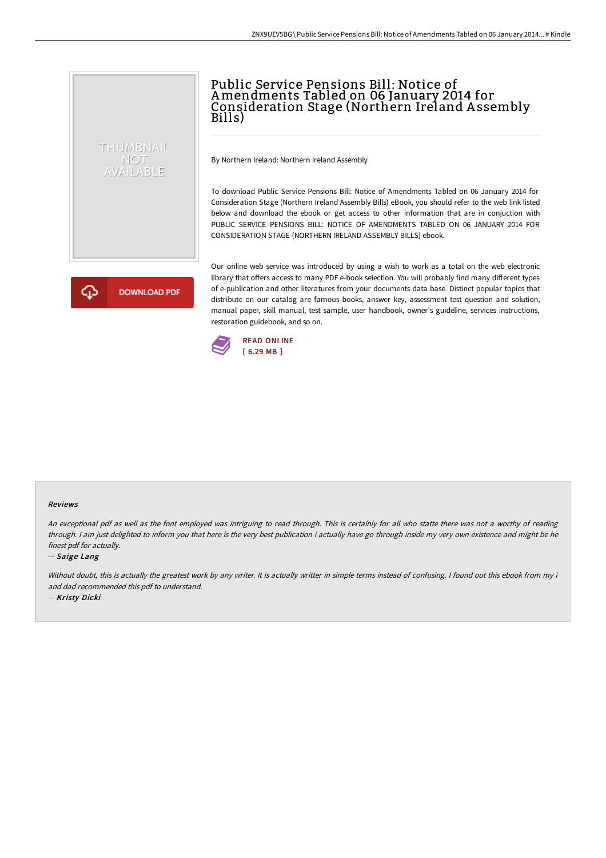# Public Service Pensions Bill: Notice of Amendments Tabled on 06 January 2014 for Consideration Stage (Northern Ireland A ssembly Bills)

By Northern Ireland: Northern Ireland Assembly

To download Public Service Pensions Bill: Notice of Amendments Tabled on 06 January 2014 for Consideration Stage (Northern Ireland Assembly Bills) eBook, you should refer to the web link listed below and download the ebook or get access to other information that are in conjuction with PUBLIC SERVICE PENSIONS BILL: NOTICE OF AMENDMENTS TABLED ON 06 JANUARY 2014 FOR CONSIDERATION STAGE (NORTHERN IRELAND ASSEMBLY BILLS) ebook.

**DOWNLOAD PDF** 

THUMBNAIL **NOT** AVAILABLE

> Our online web service was introduced by using a wish to work as a total on the web electronic library that offers access to many PDF e-book selection. You will probably find many different types of e-publication and other literatures from your documents data base. Distinct popular topics that distribute on our catalog are famous books, answer key, assessment test question and solution, manual paper, skill manual, test sample, user handbook, owner's guideline, services instructions, restoration guidebook, and so on.



#### Reviews

An exceptional pdf as well as the font employed was intriguing to read through. This is certainly for all who statte there was not <sup>a</sup> worthy of reading through. <sup>I</sup> am just delighted to inform you that here is the very best publication i actually have go through inside my very own existence and might be he finest pdf for actually.

#### -- Saige Lang

Without doubt, this is actually the greatest work by any writer. It is actually writter in simple terms instead of confusing. I found out this ebook from my i and dad recommended this pdf to understand.

-- Kristy Dicki